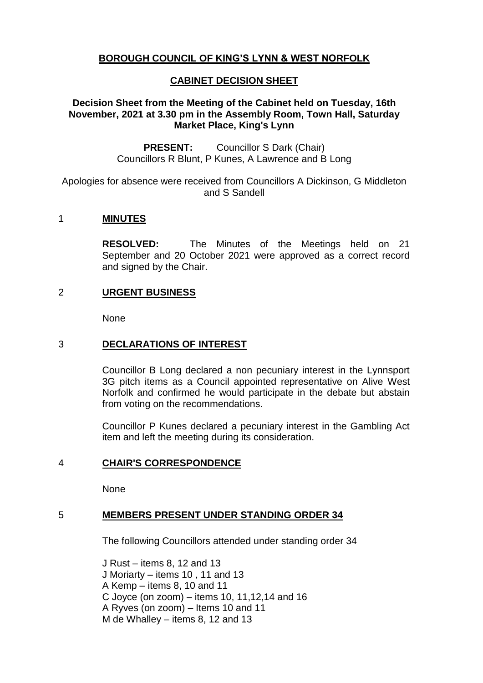# **BOROUGH COUNCIL OF KING'S LYNN & WEST NORFOLK**

# **CABINET DECISION SHEET**

# **Decision Sheet from the Meeting of the Cabinet held on Tuesday, 16th November, 2021 at 3.30 pm in the Assembly Room, Town Hall, Saturday Market Place, King's Lynn**

**PRESENT:** Councillor S Dark (Chair) Councillors R Blunt, P Kunes, A Lawrence and B Long

Apologies for absence were received from Councillors A Dickinson, G Middleton and S Sandell

# 1 **MINUTES**

**RESOLVED:** The Minutes of the Meetings held on 21 September and 20 October 2021 were approved as a correct record and signed by the Chair.

### 2 **URGENT BUSINESS**

None

### 3 **DECLARATIONS OF INTEREST**

Councillor B Long declared a non pecuniary interest in the Lynnsport 3G pitch items as a Council appointed representative on Alive West Norfolk and confirmed he would participate in the debate but abstain from voting on the recommendations.

Councillor P Kunes declared a pecuniary interest in the Gambling Act item and left the meeting during its consideration.

### 4 **CHAIR'S CORRESPONDENCE**

None

# 5 **MEMBERS PRESENT UNDER STANDING ORDER 34**

The following Councillors attended under standing order 34

J Rust – items 8, 12 and 13 J Moriarty – items 10 , 11 and 13 A Kemp – items 8, 10 and 11 C Joyce (on zoom) – items 10, 11,12,14 and 16 A Ryves (on zoom) – Items 10 and 11 M de Whalley – items 8, 12 and 13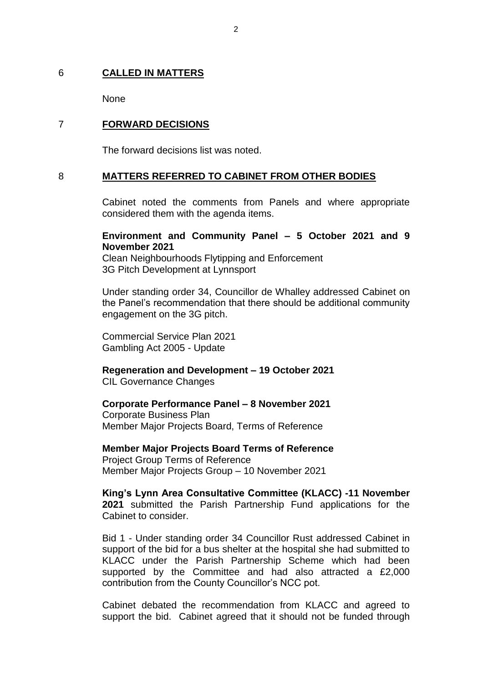### 6 **CALLED IN MATTERS**

None

## 7 **FORWARD DECISIONS**

The forward decisions list was noted.

### 8 **MATTERS REFERRED TO CABINET FROM OTHER BODIES**

Cabinet noted the comments from Panels and where appropriate considered them with the agenda items.

### **Environment and Community Panel – 5 October 2021 and 9 November 2021**

Clean Neighbourhoods Flytipping and Enforcement 3G Pitch Development at Lynnsport

Under standing order 34, Councillor de Whalley addressed Cabinet on the Panel's recommendation that there should be additional community engagement on the 3G pitch.

Commercial Service Plan 2021 Gambling Act 2005 - Update

**Regeneration and Development – 19 October 2021**  CIL Governance Changes

### **Corporate Performance Panel – 8 November 2021**

Corporate Business Plan Member Major Projects Board, Terms of Reference

**Member Major Projects Board Terms of Reference**

Project Group Terms of Reference Member Major Projects Group – 10 November 2021

#### **King's Lynn Area Consultative Committee (KLACC) -11 November 2021** submitted the Parish Partnership Fund applications for the Cabinet to consider.

Bid 1 - Under standing order 34 Councillor Rust addressed Cabinet in support of the bid for a bus shelter at the hospital she had submitted to KLACC under the Parish Partnership Scheme which had been supported by the Committee and had also attracted a £2,000 contribution from the County Councillor's NCC pot.

Cabinet debated the recommendation from KLACC and agreed to support the bid. Cabinet agreed that it should not be funded through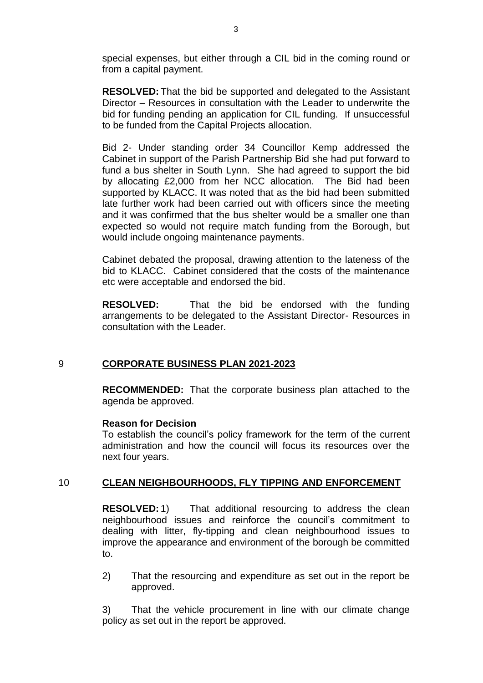special expenses, but either through a CIL bid in the coming round or from a capital payment.

**RESOLVED:** That the bid be supported and delegated to the Assistant Director – Resources in consultation with the Leader to underwrite the bid for funding pending an application for CIL funding. If unsuccessful to be funded from the Capital Projects allocation.

Bid 2- Under standing order 34 Councillor Kemp addressed the Cabinet in support of the Parish Partnership Bid she had put forward to fund a bus shelter in South Lynn. She had agreed to support the bid by allocating £2,000 from her NCC allocation. The Bid had been supported by KLACC. It was noted that as the bid had been submitted late further work had been carried out with officers since the meeting and it was confirmed that the bus shelter would be a smaller one than expected so would not require match funding from the Borough, but would include ongoing maintenance payments.

Cabinet debated the proposal, drawing attention to the lateness of the bid to KLACC. Cabinet considered that the costs of the maintenance etc were acceptable and endorsed the bid.

**RESOLVED:** That the bid be endorsed with the funding arrangements to be delegated to the Assistant Director- Resources in consultation with the Leader.

# 9 **CORPORATE BUSINESS PLAN 2021-2023**

**RECOMMENDED:** That the corporate business plan attached to the agenda be approved.

#### **Reason for Decision**

To establish the council's policy framework for the term of the current administration and how the council will focus its resources over the next four years.

# 10 **CLEAN NEIGHBOURHOODS, FLY TIPPING AND ENFORCEMENT**

**RESOLVED:** 1) That additional resourcing to address the clean neighbourhood issues and reinforce the council's commitment to dealing with litter, fly-tipping and clean neighbourhood issues to improve the appearance and environment of the borough be committed to.

2) That the resourcing and expenditure as set out in the report be approved.

3) That the vehicle procurement in line with our climate change policy as set out in the report be approved.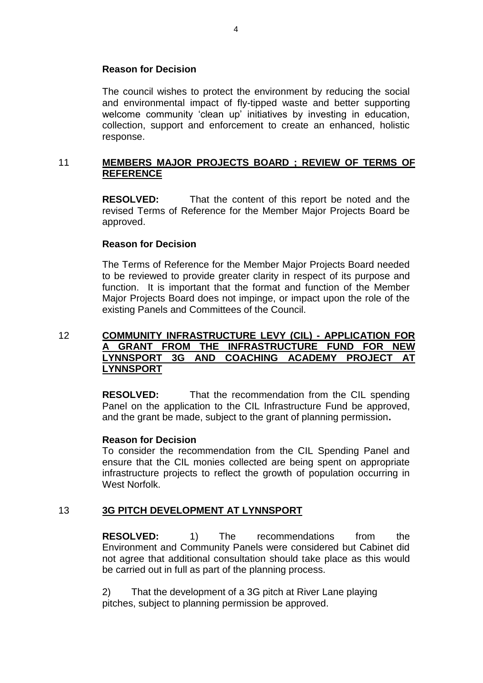### **Reason for Decision**

The council wishes to protect the environment by reducing the social and environmental impact of fly-tipped waste and better supporting welcome community 'clean up' initiatives by investing in education, collection, support and enforcement to create an enhanced, holistic response.

## 11 **MEMBERS MAJOR PROJECTS BOARD ; REVIEW OF TERMS OF REFERENCE**

**RESOLVED:** That the content of this report be noted and the revised Terms of Reference for the Member Major Projects Board be approved.

### **Reason for Decision**

The Terms of Reference for the Member Major Projects Board needed to be reviewed to provide greater clarity in respect of its purpose and function. It is important that the format and function of the Member Major Projects Board does not impinge, or impact upon the role of the existing Panels and Committees of the Council.

# 12 **COMMUNITY INFRASTRUCTURE LEVY (CIL) - APPLICATION FOR A GRANT FROM THE INFRASTRUCTURE FUND FOR NEW LYNNSPORT 3G AND COACHING ACADEMY PROJECT AT LYNNSPORT**

**RESOLVED:** That the recommendation from the CIL spending Panel on the application to the CIL Infrastructure Fund be approved, and the grant be made, subject to the grant of planning permission**.**

### **Reason for Decision**

To consider the recommendation from the CIL Spending Panel and ensure that the CIL monies collected are being spent on appropriate infrastructure projects to reflect the growth of population occurring in West Norfolk.

### 13 **3G PITCH DEVELOPMENT AT LYNNSPORT**

**RESOLVED:** 1) The recommendations from the Environment and Community Panels were considered but Cabinet did not agree that additional consultation should take place as this would be carried out in full as part of the planning process.

2) That the development of a 3G pitch at River Lane playing pitches, subject to planning permission be approved.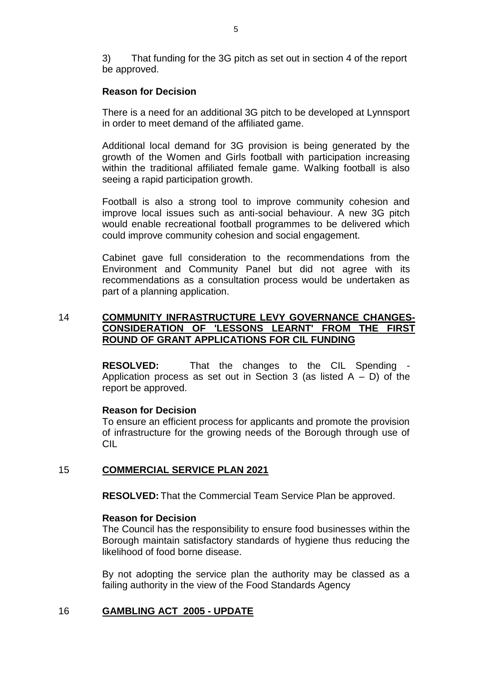3) That funding for the 3G pitch as set out in section 4 of the report be approved.

### **Reason for Decision**

There is a need for an additional 3G pitch to be developed at Lynnsport in order to meet demand of the affiliated game.

Additional local demand for 3G provision is being generated by the growth of the Women and Girls football with participation increasing within the traditional affiliated female game. Walking football is also seeing a rapid participation growth.

Football is also a strong tool to improve community cohesion and improve local issues such as anti-social behaviour. A new 3G pitch would enable recreational football programmes to be delivered which could improve community cohesion and social engagement.

Cabinet gave full consideration to the recommendations from the Environment and Community Panel but did not agree with its recommendations as a consultation process would be undertaken as part of a planning application.

# 14 **COMMUNITY INFRASTRUCTURE LEVY GOVERNANCE CHANGES-CONSIDERATION OF 'LESSONS LEARNT' FROM THE FIRST ROUND OF GRANT APPLICATIONS FOR CIL FUNDING**

**RESOLVED:** That the changes to the CIL Spending Application process as set out in Section 3 (as listed  $A - D$ ) of the report be approved.

### **Reason for Decision**

To ensure an efficient process for applicants and promote the provision of infrastructure for the growing needs of the Borough through use of CIL

# 15 **COMMERCIAL SERVICE PLAN 2021**

**RESOLVED:** That the Commercial Team Service Plan be approved.

### **Reason for Decision**

The Council has the responsibility to ensure food businesses within the Borough maintain satisfactory standards of hygiene thus reducing the likelihood of food borne disease.

By not adopting the service plan the authority may be classed as a failing authority in the view of the Food Standards Agency

# 16 **GAMBLING ACT 2005 - UPDATE**